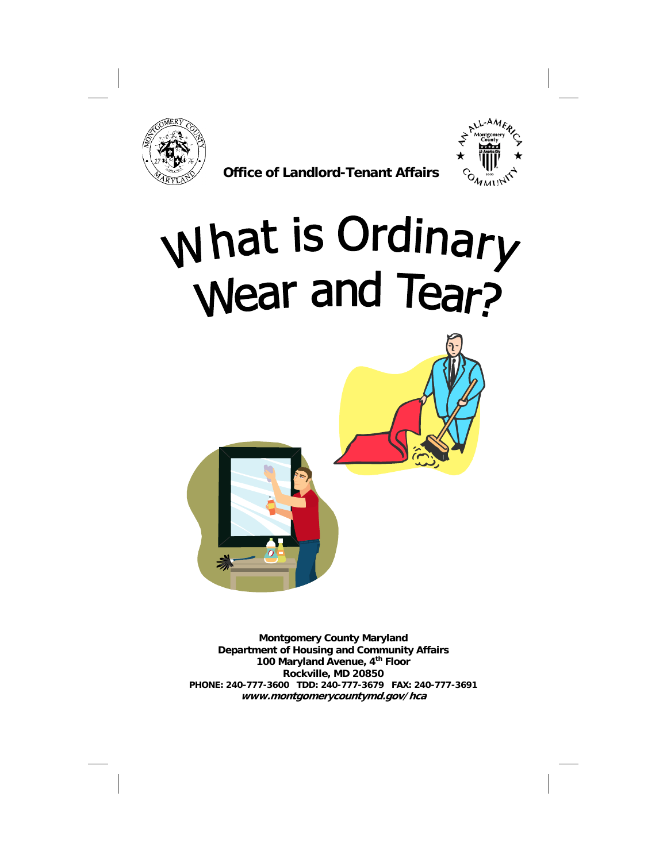

 **Office of Landlord-Tenant Affairs** 



# What is Ordinary<br>Wear and Tear?



**Montgomery County Maryland Department of Housing and Community Affairs 100 Maryland Avenue, 4th Floor Rockville, MD 20850 PHONE: 240-777-3600 TDD: 240-777-3679 FAX: 240-777-3691 www.montgomerycountymd.gov/hca**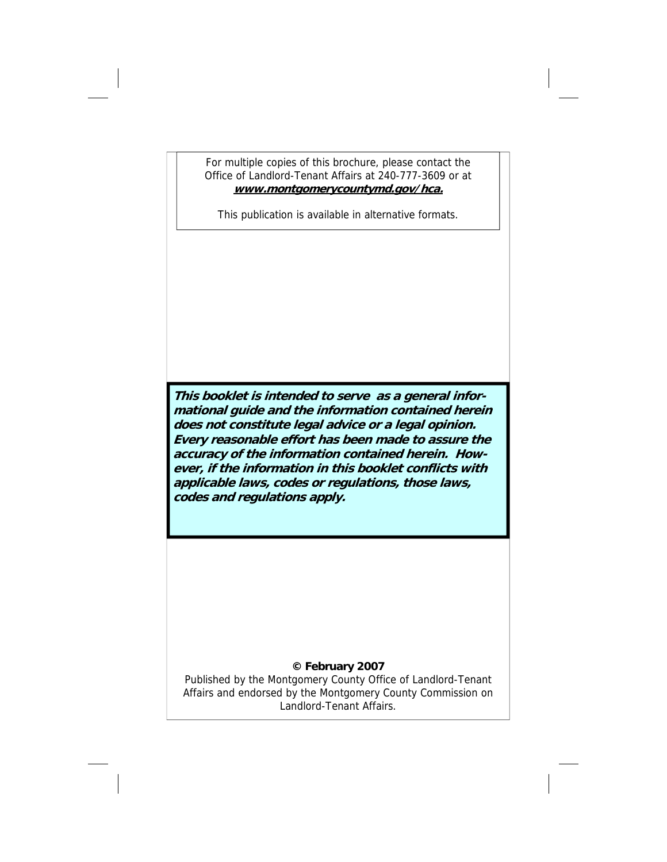For multiple copies of this brochure, please contact the Office of Landlord-Tenant Affairs at 240-777-3609 or at **www.montgomerycountymd.gov/hca.** 

This publication is available in alternative formats.

**This booklet is intended to serve as a general informational guide and the information contained herein does not constitute legal advice or a legal opinion. Every reasonable effort has been made to assure the accuracy of the information contained herein. However, if the information in this booklet conflicts with applicable laws, codes or regulations, those laws, codes and regulations apply.** 

# **© February 2007**

Published by the Montgomery County Office of Landlord-Tenant Affairs and endorsed by the Montgomery County Commission on Landlord-Tenant Affairs.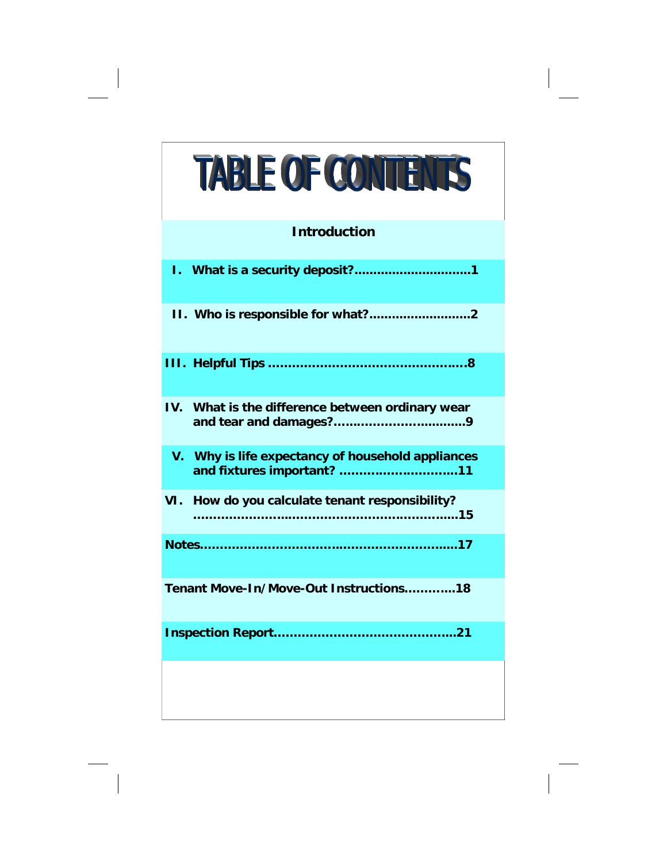# **TABLE OF CONTENTS**

# **Introduction**

| IV. What is the difference between ordinary wear                                |
|---------------------------------------------------------------------------------|
| V. Why is life expectancy of household appliances<br>and fixtures important? 11 |
| VI. How do you calculate tenant responsibility?                                 |
|                                                                                 |
| Tenant Move-In/Move-Out Instructions18                                          |
|                                                                                 |
|                                                                                 |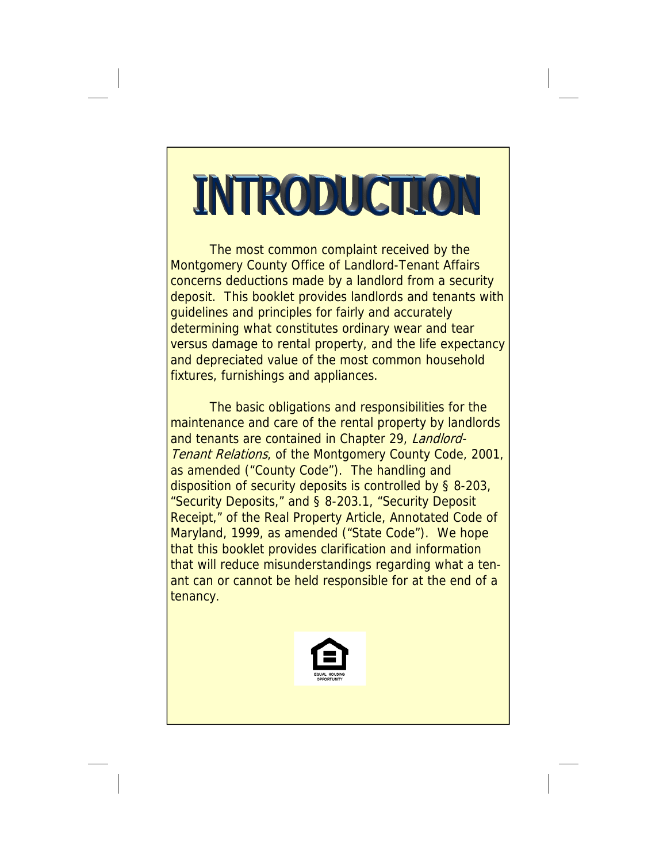# INTRODUCTIC

The most common complaint received by the Montgomery County Office of Landlord-Tenant Affairs concerns deductions made by a landlord from a security deposit. This booklet provides landlords and tenants with guidelines and principles for fairly and accurately determining what constitutes ordinary wear and tear versus damage to rental property, and the life expectancy and depreciated value of the most common household fixtures, furnishings and appliances.

 The basic obligations and responsibilities for the maintenance and care of the rental property by landlords and tenants are contained in Chapter 29, Landlord-Tenant Relations, of the Montgomery County Code, 2001, as amended ("County Code"). The handling and disposition of security deposits is controlled by § 8-203, "Security Deposits," and § 8-203.1, "Security Deposit Receipt," of the Real Property Article, Annotated Code of Maryland, 1999, as amended ("State Code"). We hope that this booklet provides clarification and information that will reduce misunderstandings regarding what a tenant can or cannot be held responsible for at the end of a tenancy.

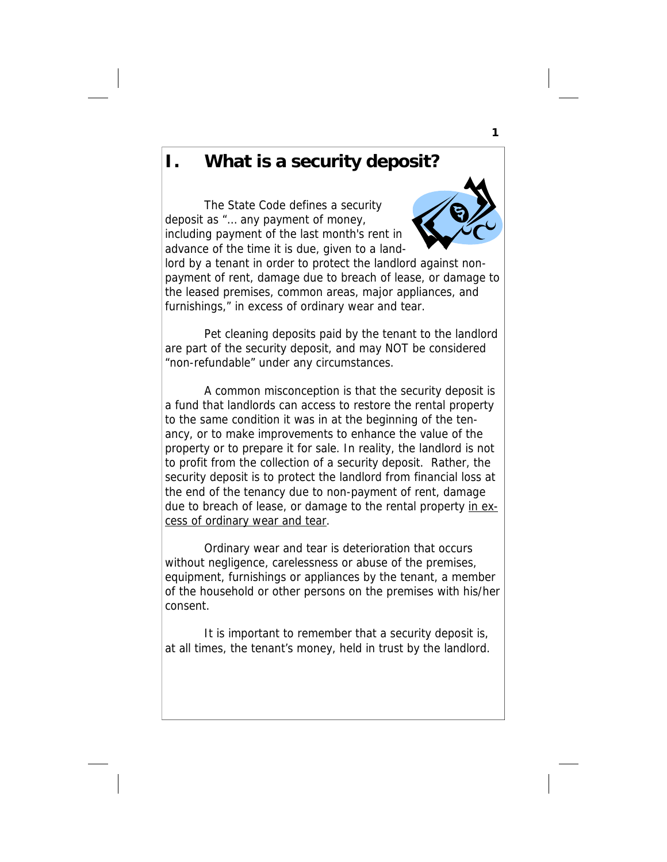# **I. What is a security deposit?**

The State Code defines a security deposit as "… any payment of money, including payment of the last month's rent in advance of the time it is due, given to a land-



lord by a tenant in order to protect the landlord against nonpayment of rent, damage due to breach of lease, or damage to the leased premises, common areas, major appliances, and furnishings," in excess of ordinary wear and tear.

 Pet cleaning deposits paid by the tenant to the landlord are part of the security deposit, and may NOT be considered "non-refundable" under any circumstances.

 A common misconception is that the security deposit is a fund that landlords can access to restore the rental property to the same condition it was in at the beginning of the tenancy, or to make improvements to enhance the value of the property or to prepare it for sale. In reality, the landlord is not to profit from the collection of a security deposit. Rather, the security deposit is to protect the landlord from financial loss at the end of the tenancy due to non-payment of rent, damage due to breach of lease, or damage to the rental property in excess of ordinary wear and tear.

 Ordinary wear and tear is deterioration that occurs without negligence, carelessness or abuse of the premises, equipment, furnishings or appliances by the tenant, a member of the household or other persons on the premises with his/her consent.

 It is important to remember that a security deposit is, at all times, the tenant's money, held in trust by the landlord.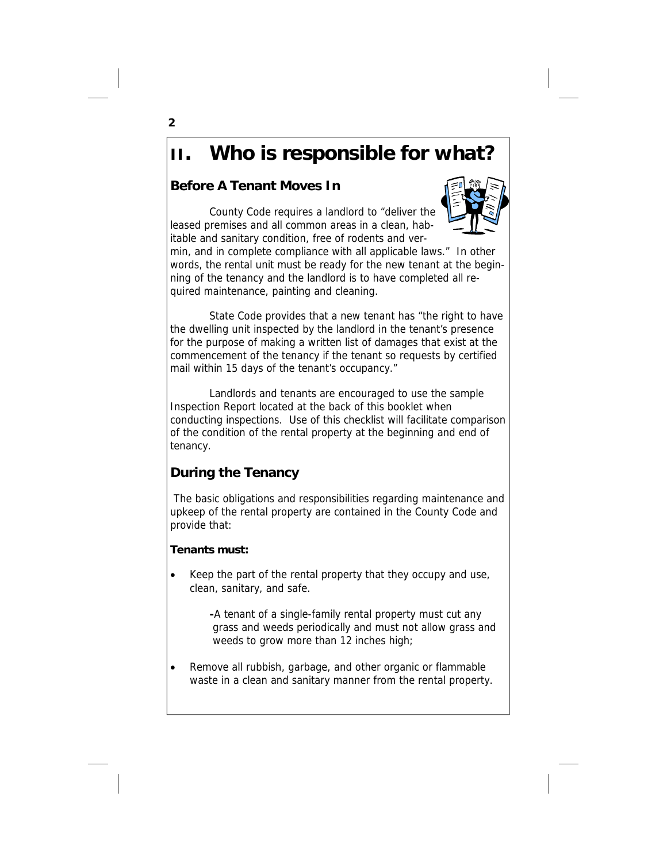# **II. Who is responsible for what?**

# **Before A Tenant Moves In**

 County Code requires a landlord to "deliver the leased premises and all common areas in a clean, habitable and sanitary condition, free of rodents and ver-



min, and in complete compliance with all applicable laws." In other words, the rental unit must be ready for the new tenant at the beginning of the tenancy and the landlord is to have completed all required maintenance, painting and cleaning.

 State Code provides that a new tenant has "the right to have the dwelling unit inspected by the landlord in the tenant's presence for the purpose of making a written list of damages that exist at the commencement of the tenancy if the tenant so requests by certified mail within 15 days of the tenant's occupancy."

 Landlords and tenants are encouraged to use the sample Inspection Report located at the back of this booklet when conducting inspections. Use of this checklist will facilitate comparison of the condition of the rental property at the beginning and end of tenancy.

# **During the Tenancy**

 The basic obligations and responsibilities regarding maintenance and upkeep of the rental property are contained in the County Code and provide that:

# **Tenants must:**

• Keep the part of the rental property that they occupy and use, clean, sanitary, and safe.

> **-**A tenant of a single-family rental property must cut any grass and weeds periodically and must not allow grass and weeds to grow more than 12 inches high;

Remove all rubbish, garbage, and other organic or flammable waste in a clean and sanitary manner from the rental property.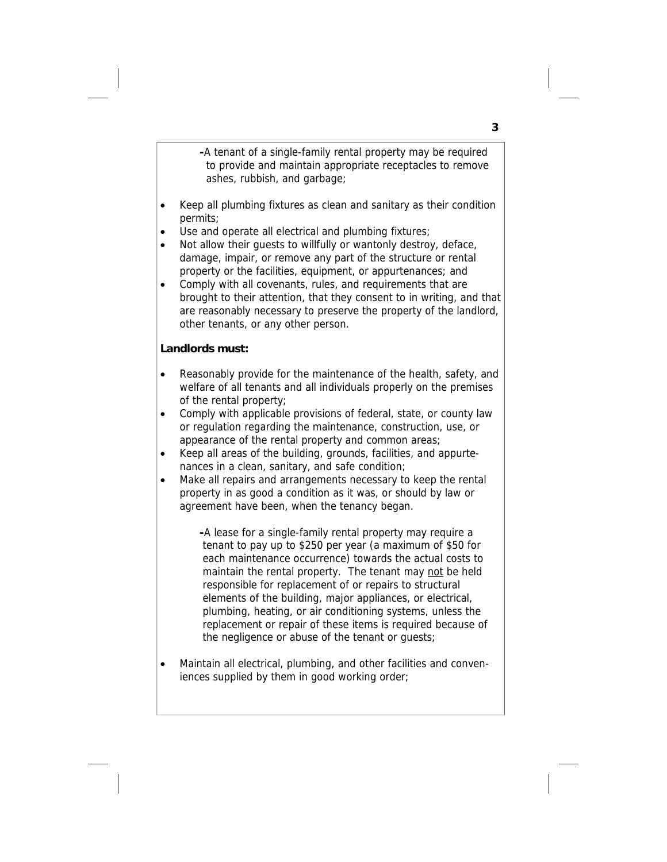**-**A tenant of a single-family rental property may be required to provide and maintain appropriate receptacles to remove ashes, rubbish, and garbage;

- Keep all plumbing fixtures as clean and sanitary as their condition permits;
- Use and operate all electrical and plumbing fixtures;
- Not allow their guests to willfully or wantonly destroy, deface, damage, impair, or remove any part of the structure or rental property or the facilities, equipment, or appurtenances; and
- Comply with all covenants, rules, and requirements that are brought to their attention, that they consent to in writing, and that are reasonably necessary to preserve the property of the landlord, other tenants, or any other person.

### **Landlords must:**

- Reasonably provide for the maintenance of the health, safety, and welfare of all tenants and all individuals properly on the premises of the rental property;
- Comply with applicable provisions of federal, state, or county law or regulation regarding the maintenance, construction, use, or appearance of the rental property and common areas;
- Keep all areas of the building, grounds, facilities, and appurtenances in a clean, sanitary, and safe condition;
- Make all repairs and arrangements necessary to keep the rental property in as good a condition as it was, or should by law or agreement have been, when the tenancy began.

**-**A lease for a single-family rental property may require a tenant to pay up to \$250 per year (a maximum of \$50 for each maintenance occurrence) towards the actual costs to maintain the rental property. The tenant may not be held responsible for replacement of or repairs to structural elements of the building, major appliances, or electrical, plumbing, heating, or air conditioning systems, unless the replacement or repair of these items is required because of the negligence or abuse of the tenant or guests;

• Maintain all electrical, plumbing, and other facilities and conveniences supplied by them in good working order;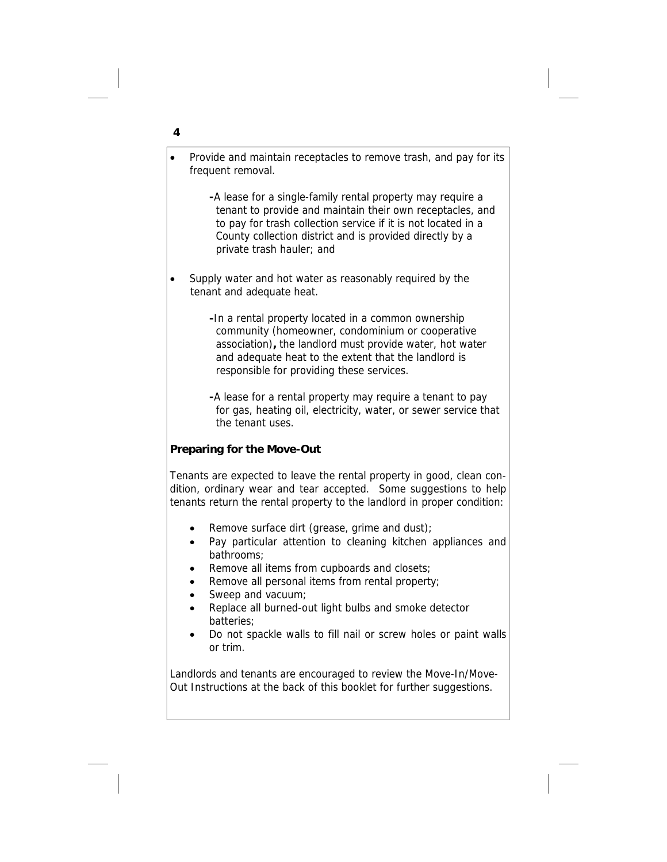- Provide and maintain receptacles to remove trash, and pay for its frequent removal.
	- **-**A lease for a single-family rental property may require a tenant to provide and maintain their own receptacles, and to pay for trash collection service if it is not located in a County collection district and is provided directly by a private trash hauler; and
- Supply water and hot water as reasonably required by the tenant and adequate heat.
	- **-**In a rental property located in a common ownership community (homeowner, condominium or cooperative association)**,** the landlord must provide water, hot water and adequate heat to the extent that the landlord is responsible for providing these services.
	- **-**A lease for a rental property may require a tenant to pay for gas, heating oil, electricity, water, or sewer service that the tenant uses.

# **Preparing for the Move-Out**

Tenants are expected to leave the rental property in good, clean condition, ordinary wear and tear accepted. Some suggestions to help tenants return the rental property to the landlord in proper condition:

- Remove surface dirt (grease, grime and dust);
- Pay particular attention to cleaning kitchen appliances and bathrooms;
- Remove all items from cupboards and closets;
- Remove all personal items from rental property;
- Sweep and vacuum;
- Replace all burned-out light bulbs and smoke detector batteries;
- Do not spackle walls to fill nail or screw holes or paint walls or trim.

Landlords and tenants are encouraged to review the Move-In/Move-Out Instructions at the back of this booklet for further suggestions.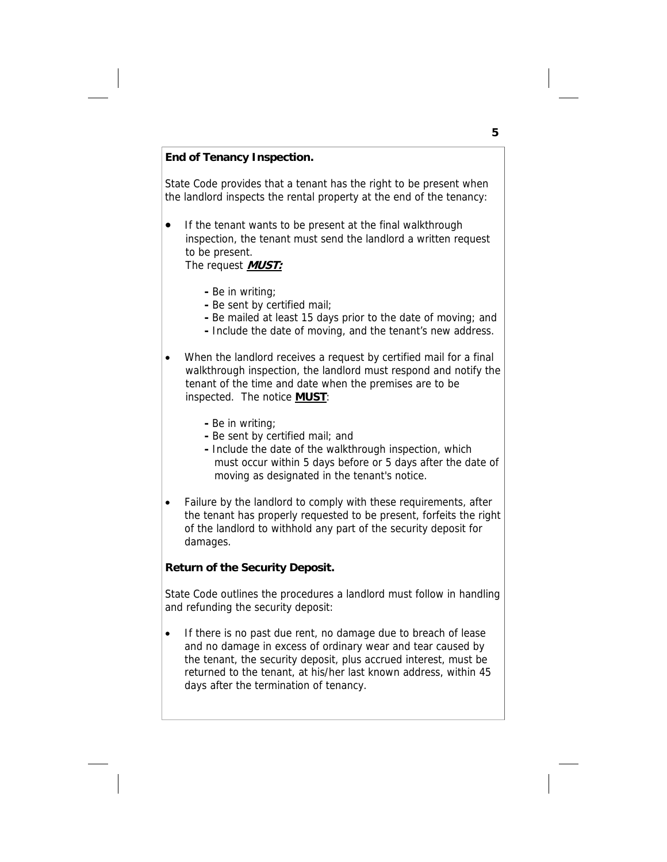### **End of Tenancy Inspection.**

State Code provides that a tenant has the right to be present when the landlord inspects the rental property at the end of the tenancy:

- If the tenant wants to be present at the final walkthrough inspection, the tenant must send the landlord a written request to be present.
	- The request **MUST:**
		- **-** Be in writing;
		- **-** Be sent by certified mail;
		- Be mailed at least 15 days prior to the date of moving; and
		- **-** Include the date of moving, and the tenant's new address.
- When the landlord receives a request by certified mail for a final walkthrough inspection, the landlord must respond and notify the tenant of the time and date when the premises are to be inspected. The notice **MUST**:
	- Be in writing;
	- **-** Be sent by certified mail; and
	- **-** Include the date of the walkthrough inspection, which must occur within 5 days before or 5 days after the date of moving as designated in the tenant's notice.
- Failure by the landlord to comply with these requirements, after the tenant has properly requested to be present, forfeits the right of the landlord to withhold any part of the security deposit for damages.

### **Return of the Security Deposit.**

State Code outlines the procedures a landlord must follow in handling and refunding the security deposit:

If there is no past due rent, no damage due to breach of lease and no damage in excess of ordinary wear and tear caused by the tenant, the security deposit, plus accrued interest, must be returned to the tenant, at his/her last known address, within 45 days after the termination of tenancy.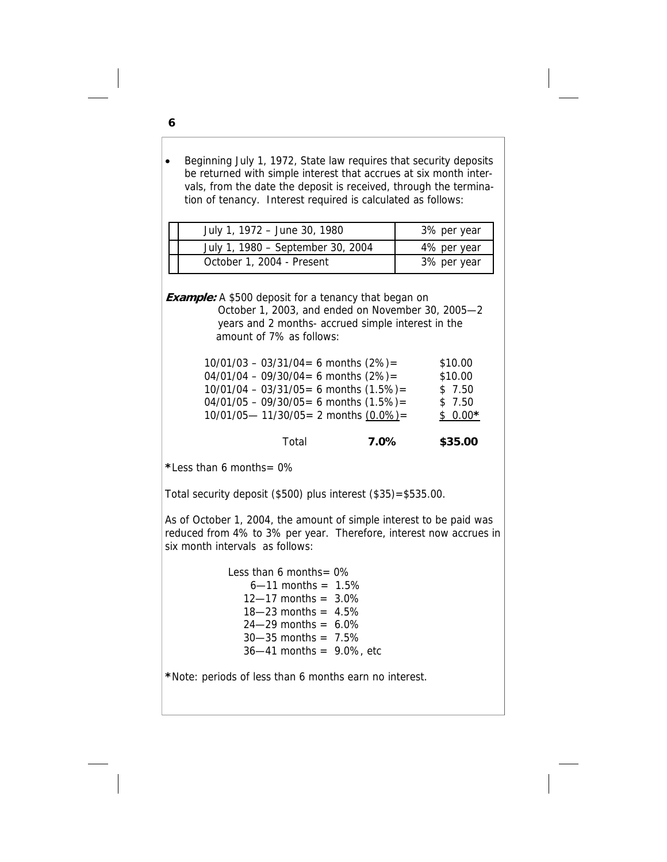• Beginning July 1, 1972, State law requires that security deposits be returned with simple interest that accrues at six month intervals, from the date the deposit is received, through the termination of tenancy. Interest required is calculated as follows:

| July 1, 1972 - June 30, 1980      | 3% per year |
|-----------------------------------|-------------|
| July 1, 1980 - September 30, 2004 | 4% per year |
| October 1, 2004 - Present         | 3% per year |

**Example:** A \$500 deposit for a tenancy that began on October 1, 2003, and ended on November 30, 2005—2 years and 2 months- accrued simple interest in the amount of 7% as follows:

| $04/01/04 - 09/30/04 = 6$ months $(2%) =$<br>$10/01/04 - 03/31/05 = 6$ months $(1.5%) =$<br>\$7.50<br>$04/01/05 - 09/30/05 = 6$ months $(1.5%) =$<br>\$7.50<br>$10/01/05 - 11/30/05 = 2$ months $(0.0\%) =$<br>$$0.00*$ | Total | $7.0\%$ | \$35.00 |
|-------------------------------------------------------------------------------------------------------------------------------------------------------------------------------------------------------------------------|-------|---------|---------|
| $10/01/03 - 03/31/04 = 6$ months $(2%) =$<br>\$10.00                                                                                                                                                                    |       |         | \$10.00 |

**\***Less than 6 months= 0%

Total security deposit (\$500) plus interest (\$35)=\$535.00.

As of October 1, 2004, the amount of simple interest to be paid was reduced from 4% to 3% per year. Therefore, interest now accrues in six month intervals as follows:

> Less than 6 months= 0%  $6 - 11$  months =  $1.5%$  $12 - 17$  months =  $3.0\%$  $18 - 23$  months =  $4.5\%$  $24 - 29$  months =  $6.0\%$  $30 - 35$  months =  $7.5%$  $36 - 41$  months = 9.0%, etc

**\***Note: periods of less than 6 months earn no interest.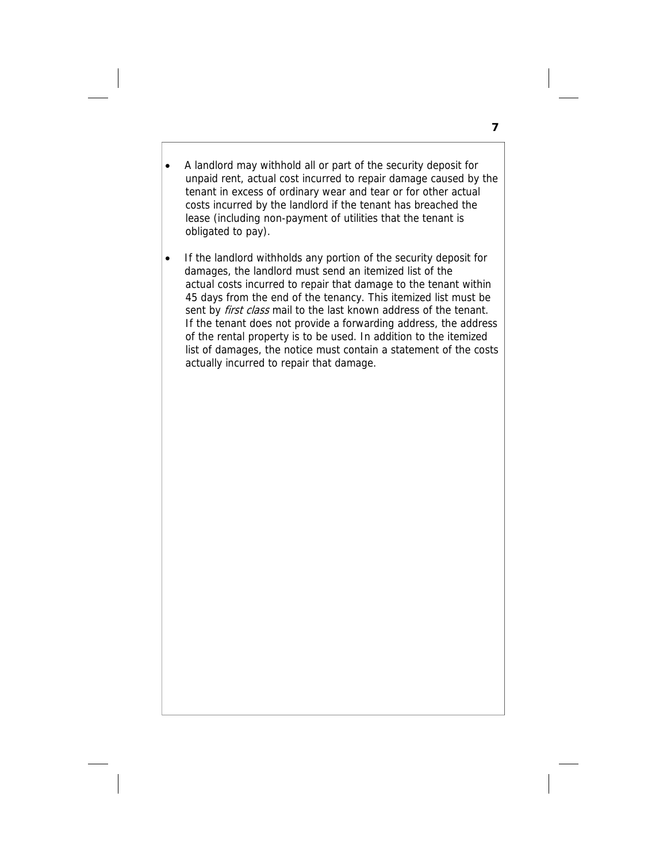- A landlord may withhold all or part of the security deposit for unpaid rent, actual cost incurred to repair damage caused by the tenant in excess of ordinary wear and tear or for other actual costs incurred by the landlord if the tenant has breached the lease (including non-payment of utilities that the tenant is obligated to pay).
- If the landlord withholds any portion of the security deposit for damages, the landlord must send an itemized list of the actual costs incurred to repair that damage to the tenant within 45 days from the end of the tenancy. This itemized list must be sent by first class mail to the last known address of the tenant. If the tenant does not provide a forwarding address, the address of the rental property is to be used. In addition to the itemized list of damages, the notice must contain a statement of the costs actually incurred to repair that damage.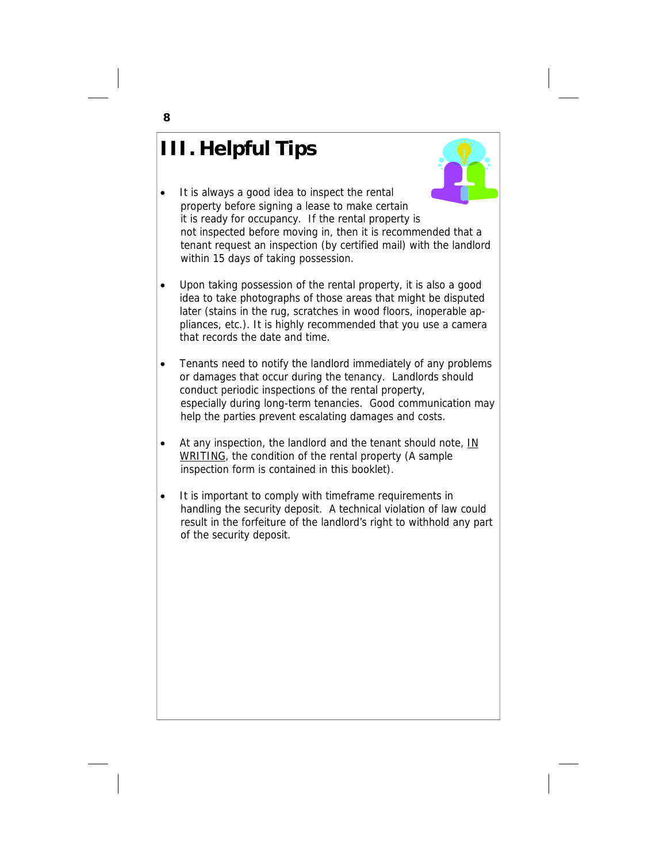# **III. Helpful Tips**



- It is always a good idea to inspect the rental property before signing a lease to make certain it is ready for occupancy. If the rental property is not inspected before moving in, then it is recommended that a tenant request an inspection (by certified mail) with the landlord within 15 days of taking possession.
- Upon taking possession of the rental property, it is also a good idea to take photographs of those areas that might be disputed later (stains in the rug, scratches in wood floors, inoperable appliances, etc.). It is highly recommended that you use a camera that records the date and time.
- Tenants need to notify the landlord immediately of any problems or damages that occur during the tenancy. Landlords should conduct periodic inspections of the rental property, especially during long-term tenancies. Good communication may help the parties prevent escalating damages and costs.
- At any inspection, the landlord and the tenant should note, IN WRITING, the condition of the rental property (A sample inspection form is contained in this booklet).
- It is important to comply with timeframe requirements in handling the security deposit. A technical violation of law could result in the forfeiture of the landlord's right to withhold any part of the security deposit.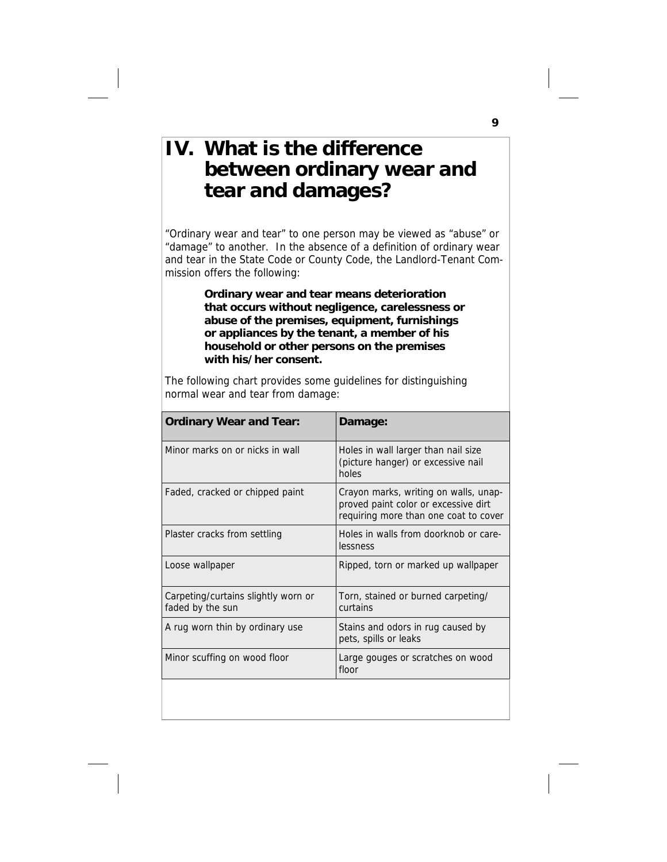# **IV. What is the difference between ordinary wear and tear and damages?**

"Ordinary wear and tear" to one person may be viewed as "abuse" or "damage" to another. In the absence of a definition of ordinary wear and tear in the State Code or County Code, the Landlord-Tenant Commission offers the following:

> **Ordinary wear and tear means deterioration that occurs without negligence, carelessness or abuse of the premises, equipment, furnishings or appliances by the tenant, a member of his household or other persons on the premises with his/her consent.**

The following chart provides some guidelines for distinguishing normal wear and tear from damage:

| <b>Ordinary Wear and Tear:</b>                          | Damage:                                                                                                                |
|---------------------------------------------------------|------------------------------------------------------------------------------------------------------------------------|
| Minor marks on or nicks in wall                         | Holes in wall larger than nail size<br>(picture hanger) or excessive nail<br>holes                                     |
| Faded, cracked or chipped paint                         | Crayon marks, writing on walls, unap-<br>proved paint color or excessive dirt<br>requiring more than one coat to cover |
| Plaster cracks from settling                            | Holes in walls from doorknob or care-<br>lessness                                                                      |
| Loose wallpaper                                         | Ripped, torn or marked up wallpaper                                                                                    |
| Carpeting/curtains slightly worn or<br>faded by the sun | Torn, stained or burned carpeting/<br>curtains                                                                         |
| A rug worn thin by ordinary use                         | Stains and odors in rug caused by<br>pets, spills or leaks                                                             |
| Minor scuffing on wood floor                            | Large gouges or scratches on wood<br>floor                                                                             |
|                                                         |                                                                                                                        |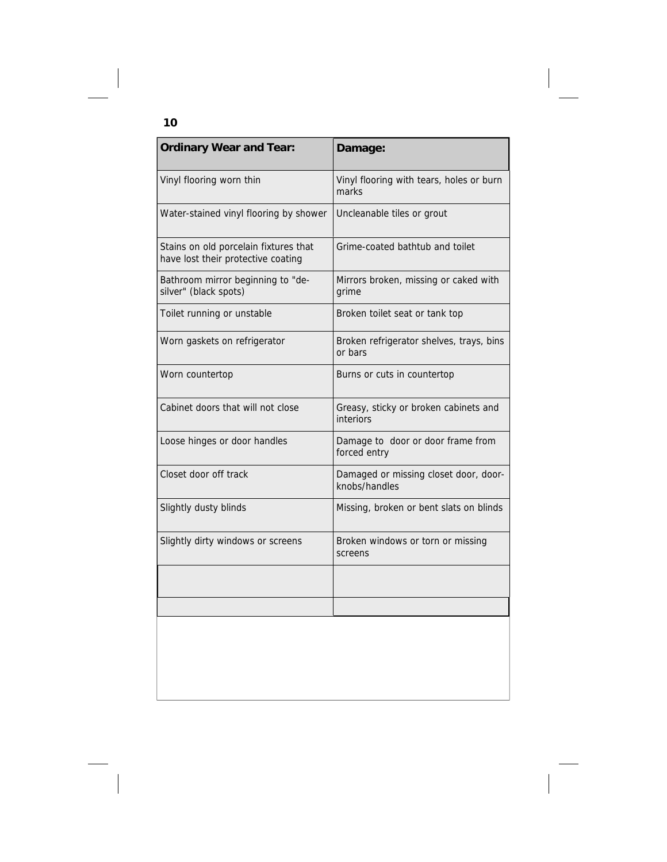| <b>Ordinary Wear and Tear:</b>                                              | Damage:                                                |
|-----------------------------------------------------------------------------|--------------------------------------------------------|
| Vinyl flooring worn thin                                                    | Vinyl flooring with tears, holes or burn<br>marks      |
| Water-stained vinyl flooring by shower                                      | Uncleanable tiles or grout                             |
| Stains on old porcelain fixtures that<br>have lost their protective coating | Grime-coated bathtub and toilet                        |
| Bathroom mirror beginning to "de-<br>silver" (black spots)                  | Mirrors broken, missing or caked with<br>grime         |
| Toilet running or unstable                                                  | Broken toilet seat or tank top                         |
| Worn gaskets on refrigerator                                                | Broken refrigerator shelves, trays, bins<br>or bars    |
| Worn countertop                                                             | Burns or cuts in countertop                            |
| Cabinet doors that will not close                                           | Greasy, sticky or broken cabinets and<br>interiors     |
| Loose hinges or door handles                                                | Damage to door or door frame from<br>forced entry      |
| Closet door off track                                                       | Damaged or missing closet door, door-<br>knobs/handles |
| Slightly dusty blinds                                                       | Missing, broken or bent slats on blinds                |
| Slightly dirty windows or screens                                           | Broken windows or torn or missing<br>screens           |
|                                                                             |                                                        |
|                                                                             |                                                        |
|                                                                             |                                                        |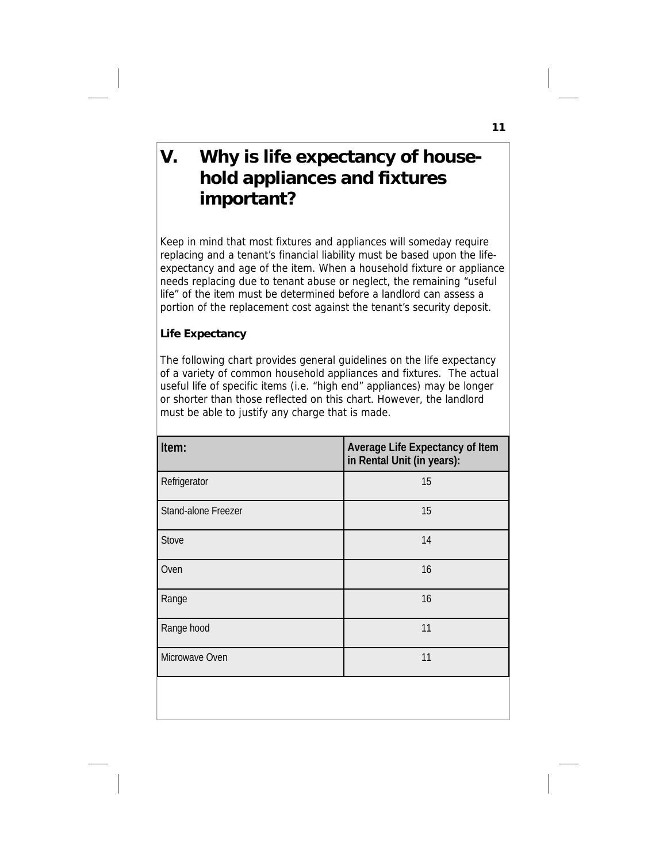# **V. Why is life expectancy of house hold appliances and fixtures important?**

Keep in mind that most fixtures and appliances will someday require replacing and a tenant's financial liability must be based upon the lifeexpectancy and age of the item. When a household fixture or appliance needs replacing due to tenant abuse or neglect, the remaining "useful life" of the item must be determined before a landlord can assess a portion of the replacement cost against the tenant's security deposit.

# **Life Expectancy**

The following chart provides general guidelines on the life expectancy of a variety of common household appliances and fixtures. The actual useful life of specific items (i.e. "high end" appliances) may be longer or shorter than those reflected on this chart. However, the landlord must be able to justify any charge that is made.

| Item:               | Average Life Expectancy of Item<br>in Rental Unit (in years): |
|---------------------|---------------------------------------------------------------|
| Refrigerator        | 15                                                            |
| Stand-alone Freezer | 15                                                            |
| Stove               | 14                                                            |
| Oven                | 16                                                            |
| Range               | 16                                                            |
| Range hood          | 11                                                            |
| Microwave Oven      | 11                                                            |
|                     |                                                               |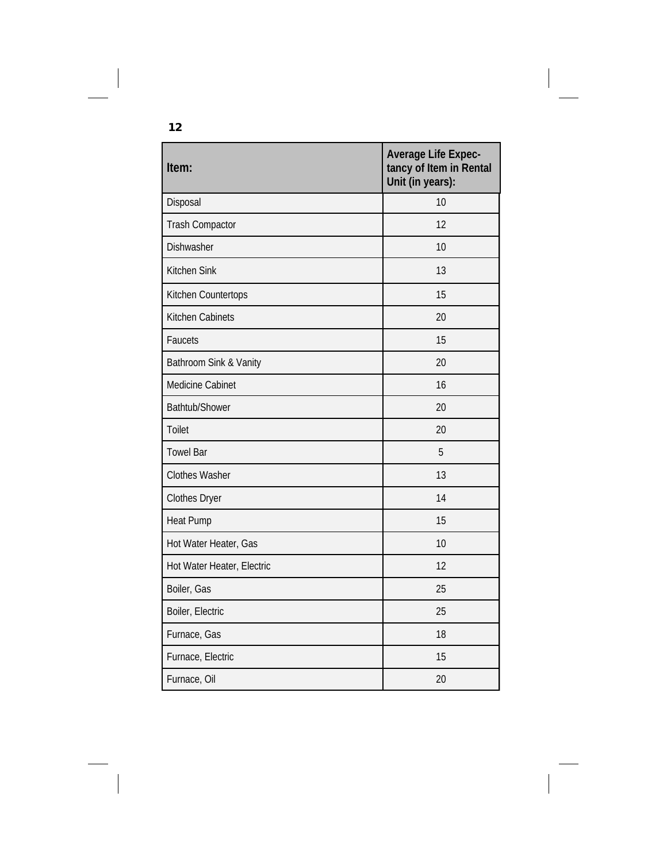| Item:                      | <b>Average Life Expec-</b><br>tancy of Item in Rental<br>Unit (in years): |
|----------------------------|---------------------------------------------------------------------------|
| Disposal                   | 10                                                                        |
| <b>Trash Compactor</b>     | 12                                                                        |
| Dishwasher                 | 10                                                                        |
| Kitchen Sink               | 13                                                                        |
| Kitchen Countertops        | 15                                                                        |
| Kitchen Cabinets           | 20                                                                        |
| Faucets                    | 15                                                                        |
| Bathroom Sink & Vanity     | 20                                                                        |
| Medicine Cabinet           | 16                                                                        |
| Bathtub/Shower             | 20                                                                        |
| <b>Toilet</b>              | 20                                                                        |
| <b>Towel Bar</b>           | 5                                                                         |
| <b>Clothes Washer</b>      | 13                                                                        |
| <b>Clothes Dryer</b>       | 14                                                                        |
| <b>Heat Pump</b>           | 15                                                                        |
| Hot Water Heater, Gas      | 10                                                                        |
| Hot Water Heater, Electric | 12                                                                        |
| Boiler, Gas                | 25                                                                        |
| Boiler, Electric           | 25                                                                        |
| Furnace, Gas               | 18                                                                        |
| Furnace, Electric          | 15                                                                        |
| Furnace, Oil               | 20                                                                        |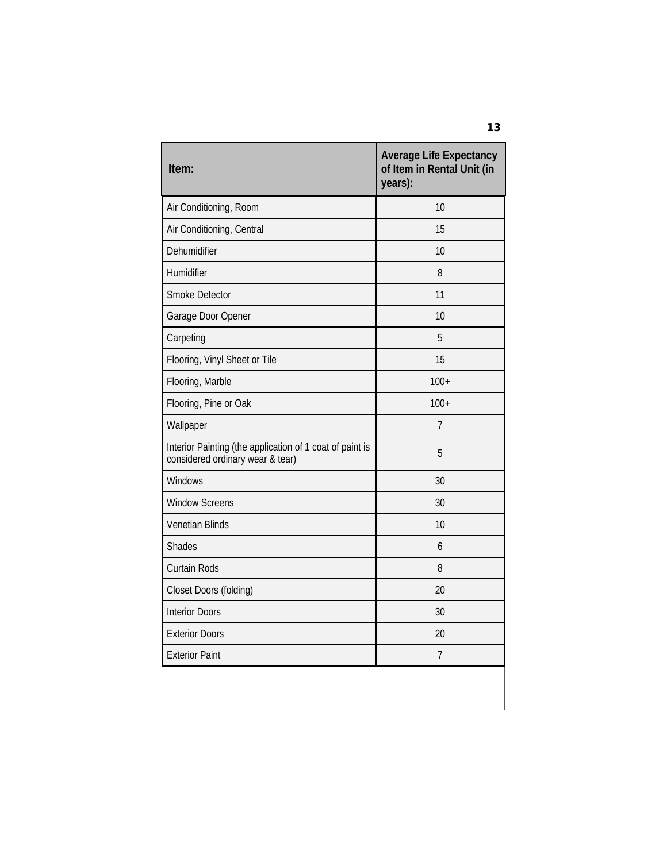| Item:                                                                                        | <b>Average Life Expectancy</b><br>of Item in Rental Unit (in<br>years): |
|----------------------------------------------------------------------------------------------|-------------------------------------------------------------------------|
| Air Conditioning, Room                                                                       | 10                                                                      |
| Air Conditioning, Central                                                                    | 15                                                                      |
| Dehumidifier                                                                                 | 10                                                                      |
| Humidifier                                                                                   | 8                                                                       |
| Smoke Detector                                                                               | 11                                                                      |
| Garage Door Opener                                                                           | 10                                                                      |
| Carpeting                                                                                    | 5                                                                       |
| Flooring, Vinyl Sheet or Tile                                                                | 15                                                                      |
| Flooring, Marble                                                                             | $100+$                                                                  |
| Flooring, Pine or Oak                                                                        | $100+$                                                                  |
| Wallpaper                                                                                    | 7                                                                       |
| Interior Painting (the application of 1 coat of paint is<br>considered ordinary wear & tear) | 5                                                                       |
| Windows                                                                                      | 30                                                                      |
| <b>Window Screens</b>                                                                        | 30                                                                      |
| <b>Venetian Blinds</b>                                                                       | 10                                                                      |
| Shades                                                                                       | 6                                                                       |
| <b>Curtain Rods</b>                                                                          | 8                                                                       |
| Closet Doors (folding)                                                                       | 20                                                                      |
| <b>Interior Doors</b>                                                                        | 30                                                                      |
| <b>Exterior Doors</b>                                                                        | 20                                                                      |
| <b>Exterior Paint</b>                                                                        | 7                                                                       |
|                                                                                              |                                                                         |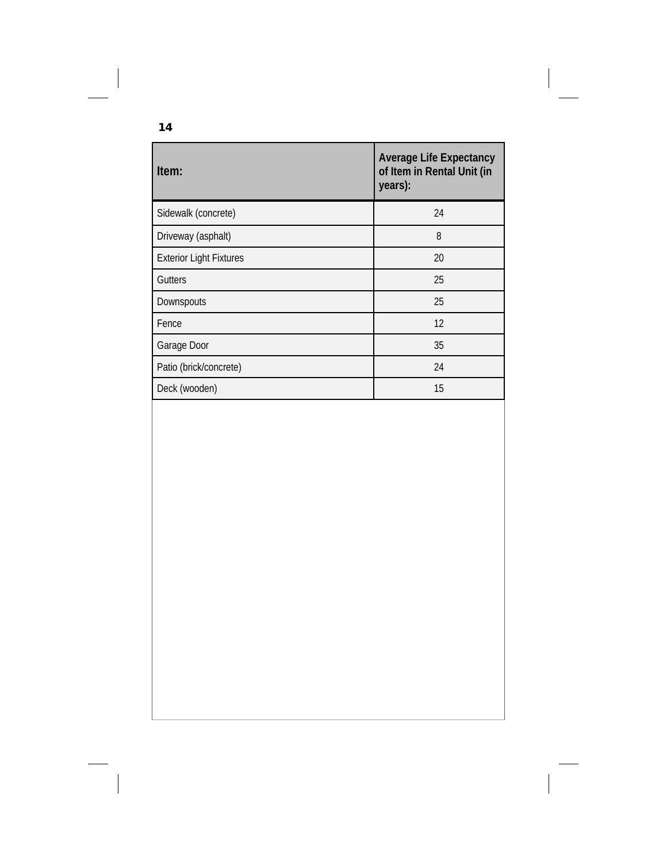| Item:                          | <b>Average Life Expectancy</b><br>of Item in Rental Unit (in<br>years): |
|--------------------------------|-------------------------------------------------------------------------|
| Sidewalk (concrete)            | 24                                                                      |
| Driveway (asphalt)             | 8                                                                       |
| <b>Exterior Light Fixtures</b> | 20                                                                      |
| Gutters                        | 25                                                                      |
| Downspouts                     | 25                                                                      |
| Fence                          | 12                                                                      |
| Garage Door                    | 35                                                                      |
| Patio (brick/concrete)         | 24                                                                      |
| Deck (wooden)                  | 15                                                                      |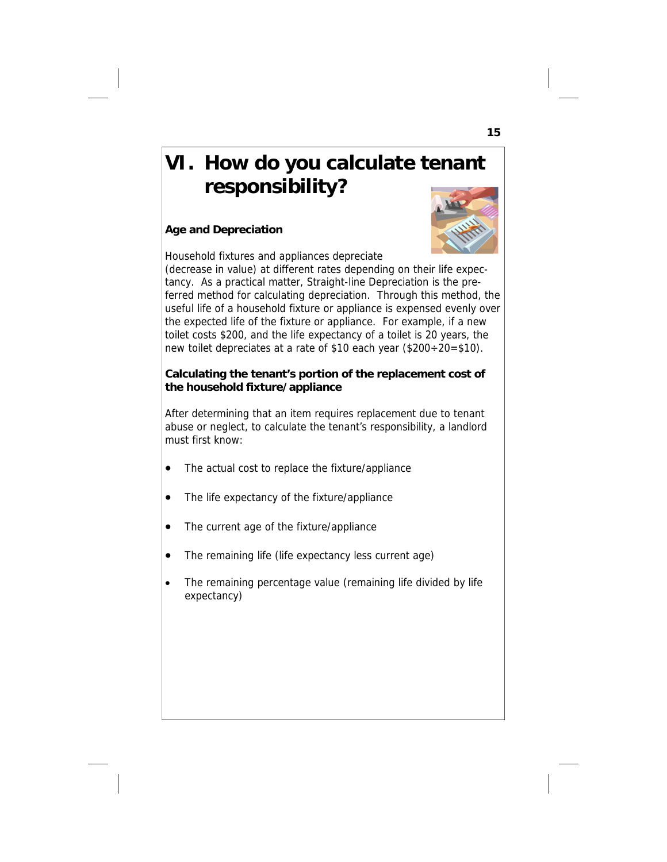# **VI. How do you calculate tenant responsibility?**

# **Age and Depreciation**



Household fixtures and appliances depreciate (decrease in value) at different rates depending on their life expec-

tancy. As a practical matter, Straight-line Depreciation is the preferred method for calculating depreciation. Through this method, the useful life of a household fixture or appliance is expensed evenly over the expected life of the fixture or appliance. For example, if a new toilet costs \$200, and the life expectancy of a toilet is 20 years, the new toilet depreciates at a rate of \$10 each year (\$200÷20=\$10).

# **Calculating the tenant's portion of the replacement cost of the household fixture/appliance**

After determining that an item requires replacement due to tenant abuse or neglect, to calculate the tenant's responsibility, a landlord must first know:

- The actual cost to replace the fixture/appliance
- The life expectancy of the fixture/appliance
- The current age of the fixture/appliance
- The remaining life (life expectancy less current age)
- The remaining percentage value (remaining life divided by life expectancy)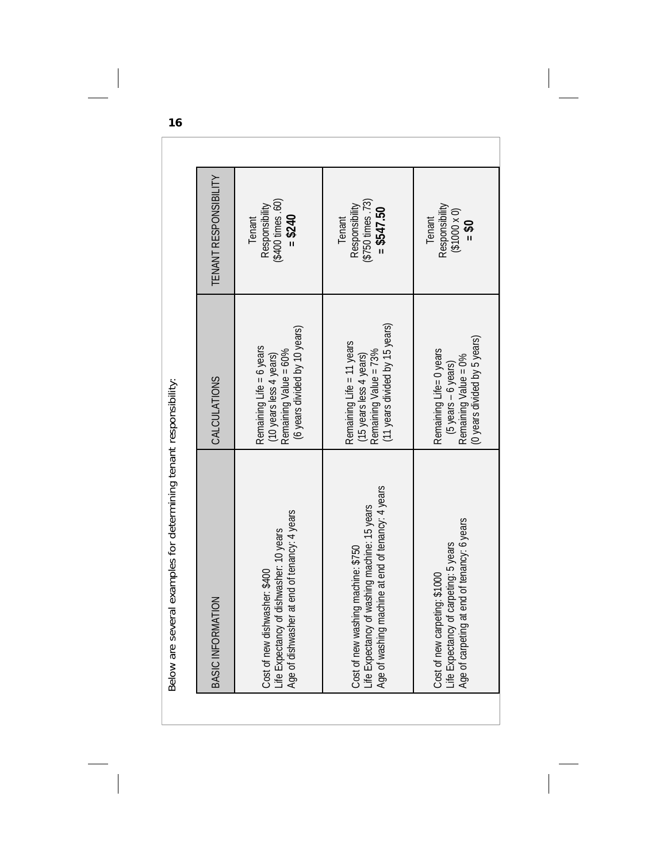| eral examples for determining tenant responsibility:<br>Below are sev                                                                              |                                                                                                                 |                                                              |
|----------------------------------------------------------------------------------------------------------------------------------------------------|-----------------------------------------------------------------------------------------------------------------|--------------------------------------------------------------|
| BASIC INFORMATION                                                                                                                                  | <b>CALCULATIONS</b>                                                                                             | <b>TENANT RESPONSIBILITY</b>                                 |
| ner at end of tenancy: 4 years<br>of dishwasher: 10 years<br>Cost of new dishwasher: \$400<br>Life Expectancy of<br>Age of dishwashe               | (6 years divided by 10 years)<br>Remaining Life = 6 years<br>Remaining Value = 60%<br>(10 years less 4 years)   | (\$400 times .60)<br>Responsibility<br>$= $240$<br>Tenant    |
| machine at end of tenancy: 4 years<br>of washing machine: 15 years<br>Cost of new washing machine: \$750<br>Life Expectancy of<br>Age of washing n | (11 years divided by 15 years)<br>Remaining Life = 11 years<br>Remaining Value = 73%<br>(15 years less 4 years) | (\$750 times .73)<br>Responsibility<br>$= $547.50$<br>Tenant |
| at end of tenancy: 6 years<br>of carpeting: 5 years<br>Cost of new carpeting: \$1000<br>Life Expectancy<br>Age of carpeting                        | (O years divided by 5 years)<br>Remaining Life= 0 years<br>Remaining Value = 0%<br>$(5 years - 6 years)$        | Responsibility<br>$(1000 \times 0)$<br>Tenant<br>$05 =$      |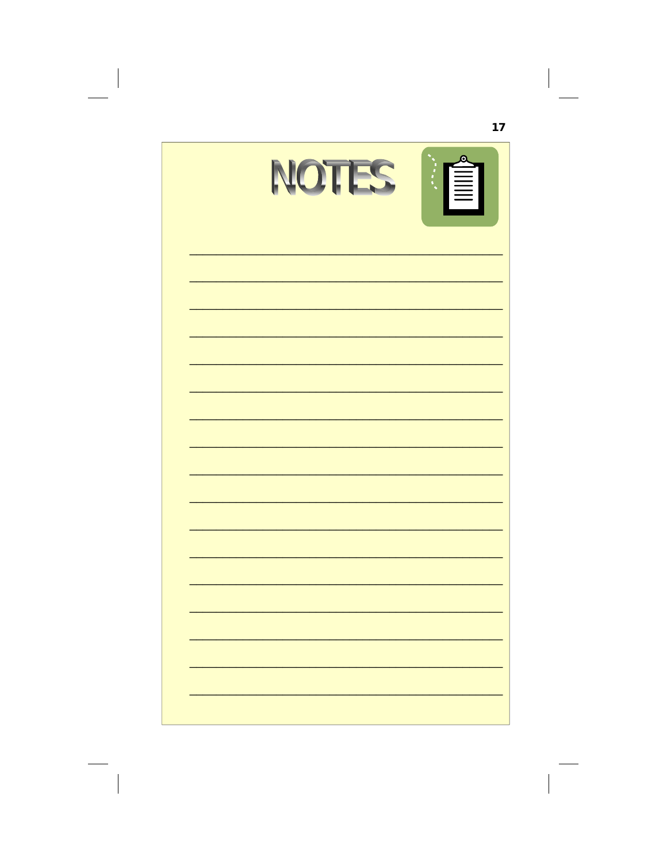| NOTES | $\mathbf{\Omega}$ |
|-------|-------------------|
|       |                   |
|       |                   |
|       |                   |
|       |                   |
|       |                   |
|       |                   |
|       |                   |
|       |                   |
|       |                   |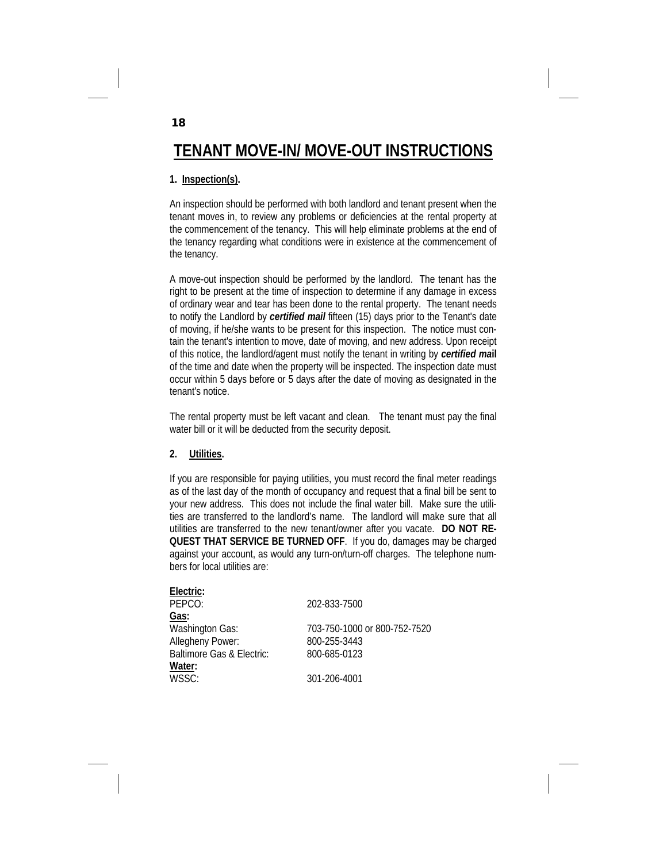# **TENANT MOVE-IN/ MOVE-OUT INSTRUCTIONS**

# **1. Inspection(s).**

An inspection should be performed with both landlord and tenant present when the tenant moves in, to review any problems or deficiencies at the rental property at the commencement of the tenancy. This will help eliminate problems at the end of the tenancy regarding what conditions were in existence at the commencement of the tenancy.

A move-out inspection should be performed by the landlord. The tenant has the right to be present at the time of inspection to determine if any damage in excess of ordinary wear and tear has been done to the rental property. The tenant needs to notify the Landlord by *certified mail* fifteen (15) days prior to the Tenant's date of moving, if he/she wants to be present for this inspection. The notice must contain the tenant's intention to move, date of moving, and new address. Upon receipt of this notice, the landlord/agent must notify the tenant in writing by *certified ma***il** of the time and date when the property will be inspected. The inspection date must occur within 5 days before or 5 days after the date of moving as designated in the tenant's notice.

The rental property must be left vacant and clean. The tenant must pay the final water bill or it will be deducted from the security deposit.

### **2. Utilities.**

If you are responsible for paying utilities, you must record the final meter readings as of the last day of the month of occupancy and request that a final bill be sent to your new address. This does not include the final water bill. Make sure the utilities are transferred to the landlord's name. The landlord will make sure that all utilities are transferred to the new tenant/owner after you vacate. **DO NOT RE-QUEST THAT SERVICE BE TURNED OFF**. If you do, damages may be charged against your account, as would any turn-on/turn-off charges. The telephone numbers for local utilities are:

| Electric:                 |                              |
|---------------------------|------------------------------|
| PEPCO:                    | 202-833-7500                 |
| Gas:                      |                              |
| <b>Washington Gas:</b>    | 703-750-1000 or 800-752-7520 |
| Allegheny Power:          | 800-255-3443                 |
| Baltimore Gas & Electric: | 800-685-0123                 |
| Water:                    |                              |
| WSSC:                     | 301-206-4001                 |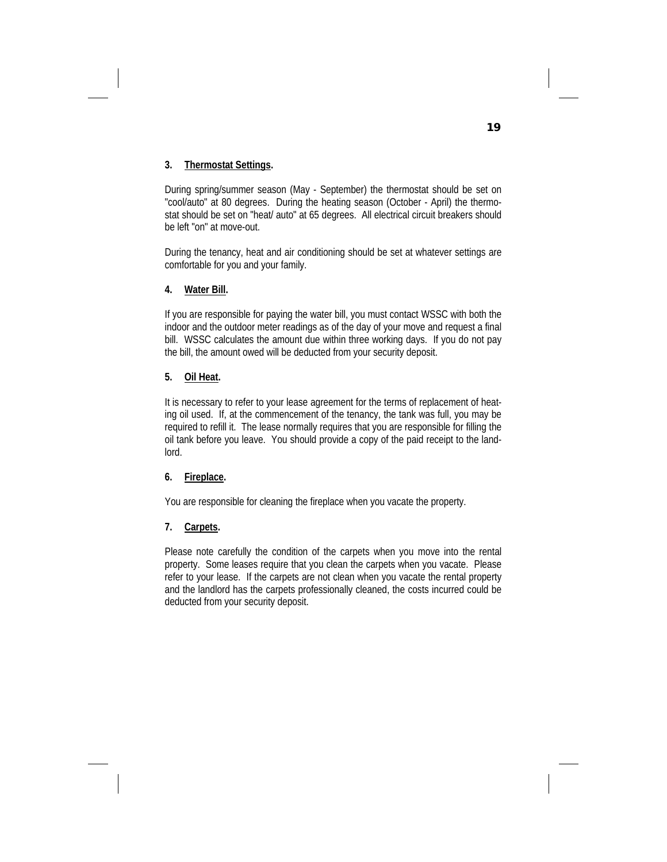# **3. Thermostat Settings.**

During spring/summer season (May - September) the thermostat should be set on "cool/auto" at 80 degrees. During the heating season (October - April) the thermostat should be set on "heat/ auto" at 65 degrees. All electrical circuit breakers should be left "on" at move-out.

During the tenancy, heat and air conditioning should be set at whatever settings are comfortable for you and your family.

# **4. Water Bill.**

If you are responsible for paying the water bill, you must contact WSSC with both the indoor and the outdoor meter readings as of the day of your move and request a final bill. WSSC calculates the amount due within three working days. If you do not pay the bill, the amount owed will be deducted from your security deposit.

### **5. Oil Heat.**

It is necessary to refer to your lease agreement for the terms of replacement of heating oil used. If, at the commencement of the tenancy, the tank was full, you may be required to refill it. The lease normally requires that you are responsible for filling the oil tank before you leave. You should provide a copy of the paid receipt to the landlord.

# **6. Fireplace.**

You are responsible for cleaning the fireplace when you vacate the property.

# **7. Carpets.**

Please note carefully the condition of the carpets when you move into the rental property. Some leases require that you clean the carpets when you vacate. Please refer to your lease. If the carpets are not clean when you vacate the rental property and the landlord has the carpets professionally cleaned, the costs incurred could be deducted from your security deposit.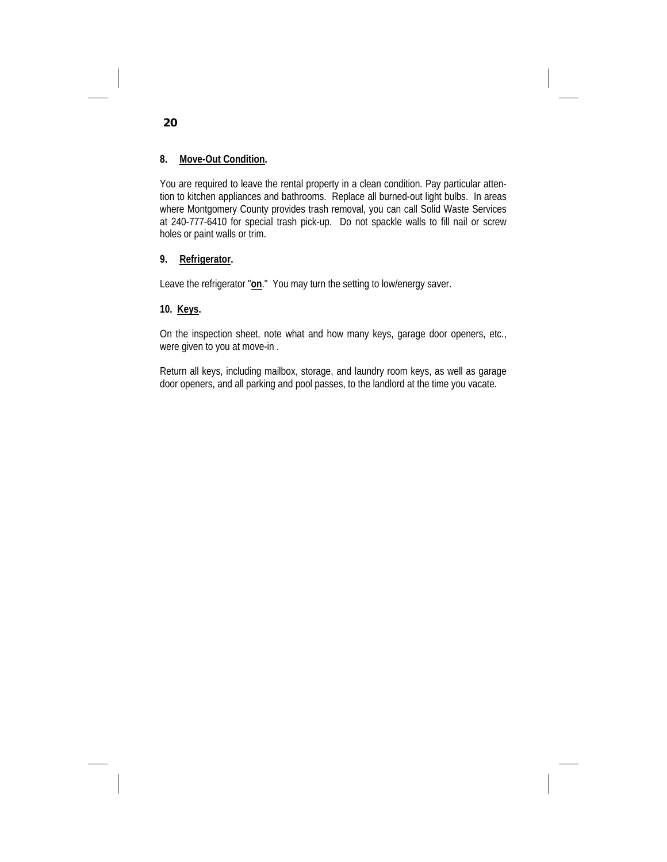# **8. Move-Out Condition.**

You are required to leave the rental property in a clean condition. Pay particular attention to kitchen appliances and bathrooms. Replace all burned-out light bulbs. In areas where Montgomery County provides trash removal, you can call Solid Waste Services at 240-777-6410 for special trash pick-up. Do not spackle walls to fill nail or screw holes or paint walls or trim.

### **9. Refrigerator.**

Leave the refrigerator "**on**." You may turn the setting to low/energy saver.

### **10. Keys.**

On the inspection sheet, note what and how many keys, garage door openers, etc., were given to you at move-in .

Return all keys, including mailbox, storage, and laundry room keys, as well as garage door openers, and all parking and pool passes, to the landlord at the time you vacate.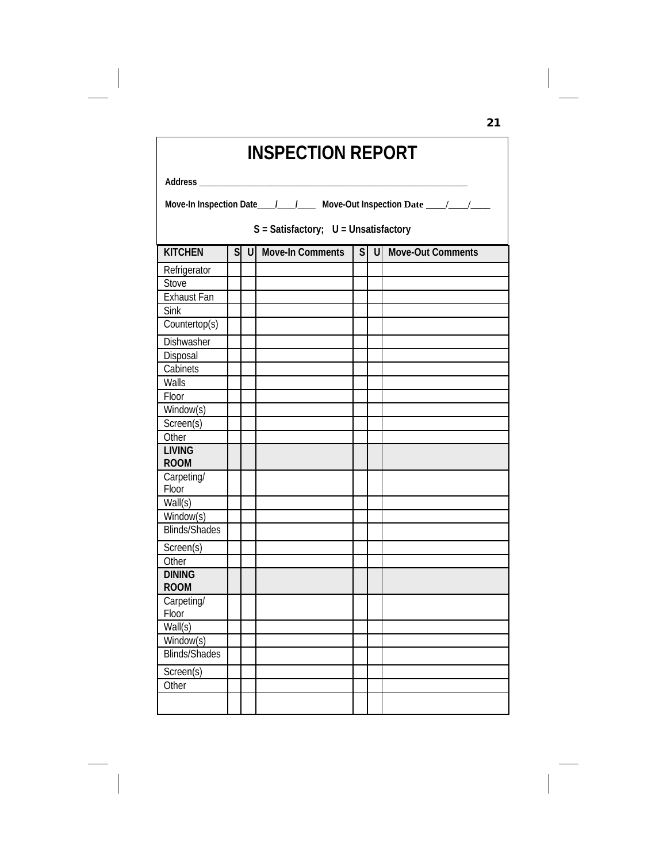| <b>INSPECTION REPORT</b>             |                                                                                |  |  |  |  |  |  |  |
|--------------------------------------|--------------------------------------------------------------------------------|--|--|--|--|--|--|--|
| Address                              |                                                                                |  |  |  |  |  |  |  |
|                                      | Move-In Inspection Date____/____/_____ Move-Out Inspection Date ____/____/____ |  |  |  |  |  |  |  |
| S = Satisfactory; U = Unsatisfactory |                                                                                |  |  |  |  |  |  |  |
| <b>KITCHEN</b>                       | S U Move-In Comments<br>S U Move-Out Comments                                  |  |  |  |  |  |  |  |
| Refrigerator                         |                                                                                |  |  |  |  |  |  |  |
| Stove                                |                                                                                |  |  |  |  |  |  |  |
| <b>Exhaust Fan</b>                   |                                                                                |  |  |  |  |  |  |  |
| <b>Sink</b>                          |                                                                                |  |  |  |  |  |  |  |
| Countertop(s)                        |                                                                                |  |  |  |  |  |  |  |
| Dishwasher                           |                                                                                |  |  |  |  |  |  |  |
| Disposal                             |                                                                                |  |  |  |  |  |  |  |
| Cabinets                             |                                                                                |  |  |  |  |  |  |  |
| Walls                                |                                                                                |  |  |  |  |  |  |  |
| Floor                                |                                                                                |  |  |  |  |  |  |  |
| Window(s)                            |                                                                                |  |  |  |  |  |  |  |
| Screen(s)                            |                                                                                |  |  |  |  |  |  |  |
| Other                                |                                                                                |  |  |  |  |  |  |  |
| <b>LIVING</b>                        |                                                                                |  |  |  |  |  |  |  |
| <b>ROOM</b>                          |                                                                                |  |  |  |  |  |  |  |
| Carpeting/                           |                                                                                |  |  |  |  |  |  |  |
| Floor                                |                                                                                |  |  |  |  |  |  |  |
| Wall(s)                              |                                                                                |  |  |  |  |  |  |  |
| $\overline{\text{Window}}(s)$        |                                                                                |  |  |  |  |  |  |  |
| <b>Blinds/Shades</b>                 |                                                                                |  |  |  |  |  |  |  |
| Screen(s)                            |                                                                                |  |  |  |  |  |  |  |
| Other                                |                                                                                |  |  |  |  |  |  |  |
| <b>DINING</b><br><b>ROOM</b>         |                                                                                |  |  |  |  |  |  |  |
| Carpeting/                           |                                                                                |  |  |  |  |  |  |  |
| Floor                                |                                                                                |  |  |  |  |  |  |  |
| Wall(s)                              |                                                                                |  |  |  |  |  |  |  |
| Window(s)                            |                                                                                |  |  |  |  |  |  |  |
| Blinds/Shades                        |                                                                                |  |  |  |  |  |  |  |
| Screen(s)                            |                                                                                |  |  |  |  |  |  |  |
| Other                                |                                                                                |  |  |  |  |  |  |  |
|                                      |                                                                                |  |  |  |  |  |  |  |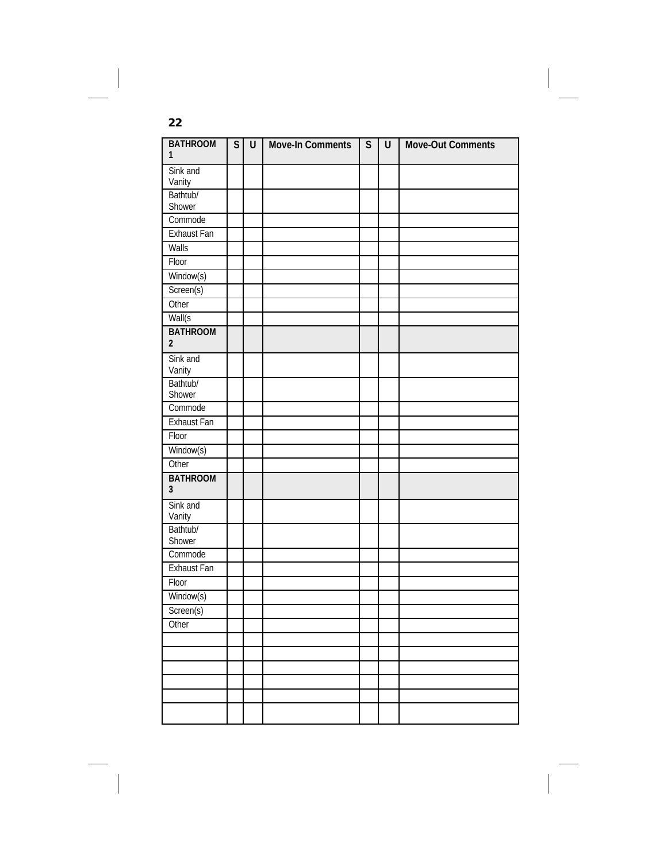| <b>BATHROOM</b><br>$\mathbf{1}$   | S | U | <b>Move-In Comments</b> | S | $\cup$ | Move-Out Comments |
|-----------------------------------|---|---|-------------------------|---|--------|-------------------|
| Sink and<br>Vanity                |   |   |                         |   |        |                   |
| Bathtub/<br>Shower                |   |   |                         |   |        |                   |
| Commode                           |   |   |                         |   |        |                   |
| Exhaust Fan                       |   |   |                         |   |        |                   |
| Walls                             |   |   |                         |   |        |                   |
| Floor                             |   |   |                         |   |        |                   |
| Window(s)                         |   |   |                         |   |        |                   |
| Screen(s)                         |   |   |                         |   |        |                   |
| Other                             |   |   |                         |   |        |                   |
| Wall(s)                           |   |   |                         |   |        |                   |
| <b>BATHROOM</b><br>$\overline{2}$ |   |   |                         |   |        |                   |
| Sink and<br>Vanity                |   |   |                         |   |        |                   |
| Bathtub/<br>Shower                |   |   |                         |   |        |                   |
| Commode                           |   |   |                         |   |        |                   |
| Exhaust Fan                       |   |   |                         |   |        |                   |
| Floor                             |   |   |                         |   |        |                   |
| Window(s)                         |   |   |                         |   |        |                   |
| Other                             |   |   |                         |   |        |                   |
| <b>BATHROOM</b><br>$\overline{3}$ |   |   |                         |   |        |                   |
| Sink and<br>Vanity                |   |   |                         |   |        |                   |
| Bathtub/<br>Shower                |   |   |                         |   |        |                   |
| Commode                           |   |   |                         |   |        |                   |
| Exhaust Fan                       |   |   |                         |   |        |                   |
| Floor                             |   |   |                         |   |        |                   |
| Window(s)                         |   |   |                         |   |        |                   |
| Screen(s)                         |   |   |                         |   |        |                   |
| Other                             |   |   |                         |   |        |                   |
|                                   |   |   |                         |   |        |                   |
|                                   |   |   |                         |   |        |                   |
|                                   |   |   |                         |   |        |                   |
|                                   |   |   |                         |   |        |                   |
|                                   |   |   |                         |   |        |                   |
|                                   |   |   |                         |   |        |                   |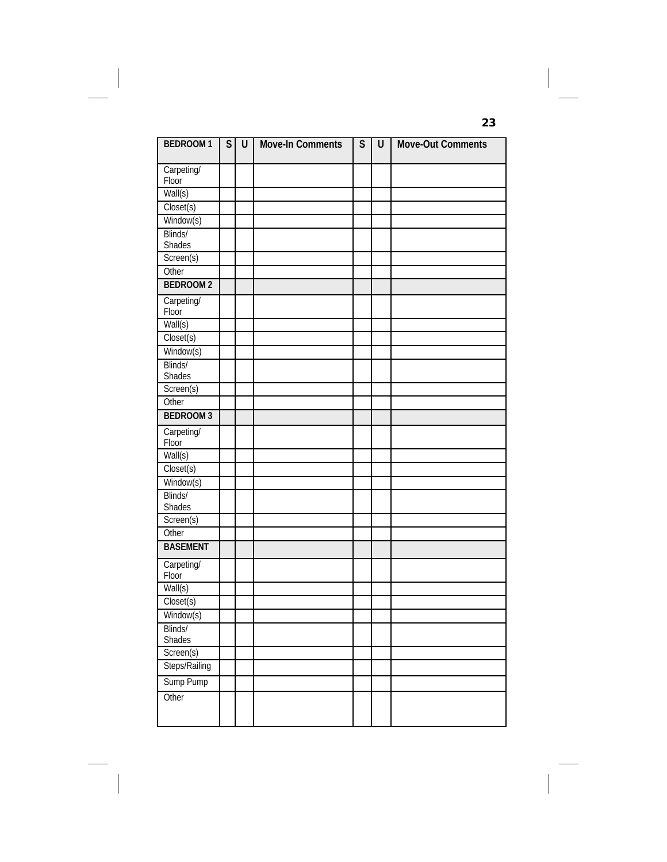| <b>BEDROOM1</b>      | S | U | <b>Move-In Comments</b> | $\mathsf{S}$ | U | Move-Out Comments |
|----------------------|---|---|-------------------------|--------------|---|-------------------|
|                      |   |   |                         |              |   |                   |
| Carpeting/           |   |   |                         |              |   |                   |
| Floor                |   |   |                         |              |   |                   |
| Wall(s)              |   |   |                         |              |   |                   |
| Closet(s)            |   |   |                         |              |   |                   |
| Window(s)<br>Blinds/ |   |   |                         |              |   |                   |
| Shades               |   |   |                         |              |   |                   |
| Screen(s)            |   |   |                         |              |   |                   |
| Other                |   |   |                         |              |   |                   |
| <b>BEDROOM2</b>      |   |   |                         |              |   |                   |
| Carpeting/           |   |   |                         |              |   |                   |
| Floor                |   |   |                         |              |   |                   |
| Wall(s)              |   |   |                         |              |   |                   |
| Closet(s)            |   |   |                         |              |   |                   |
| Window(s)            |   |   |                         |              |   |                   |
| Blinds/              |   |   |                         |              |   |                   |
| Shades               |   |   |                         |              |   |                   |
| Screen(s)            |   |   |                         |              |   |                   |
| Other                |   |   |                         |              |   |                   |
| <b>BEDROOM3</b>      |   |   |                         |              |   |                   |
| Carpeting/           |   |   |                         |              |   |                   |
| Floor                |   |   |                         |              |   |                   |
| Wall(s)              |   |   |                         |              |   |                   |
| Closet(s)            |   |   |                         |              |   |                   |
| Window(s)            |   |   |                         |              |   |                   |
| Blinds/              |   |   |                         |              |   |                   |
| Shades               |   |   |                         |              |   |                   |
| Screen(s)<br>Other   |   |   |                         |              |   |                   |
| <b>BASEMENT</b>      |   |   |                         |              |   |                   |
|                      |   |   |                         |              |   |                   |
| Carpeting/           |   |   |                         |              |   |                   |
| Floor                |   |   |                         |              |   |                   |
| Wall(s)              |   |   |                         |              |   |                   |
| Closet(s)            |   |   |                         |              |   |                   |
| Window(s)            |   |   |                         |              |   |                   |
| Blinds/              |   |   |                         |              |   |                   |
| Shades<br>Screen(s)  |   |   |                         |              |   |                   |
| Steps/Railing        |   |   |                         |              |   |                   |
|                      |   |   |                         |              |   |                   |
| Sump Pump            |   |   |                         |              |   |                   |
| Other                |   |   |                         |              |   |                   |
|                      |   |   |                         |              |   |                   |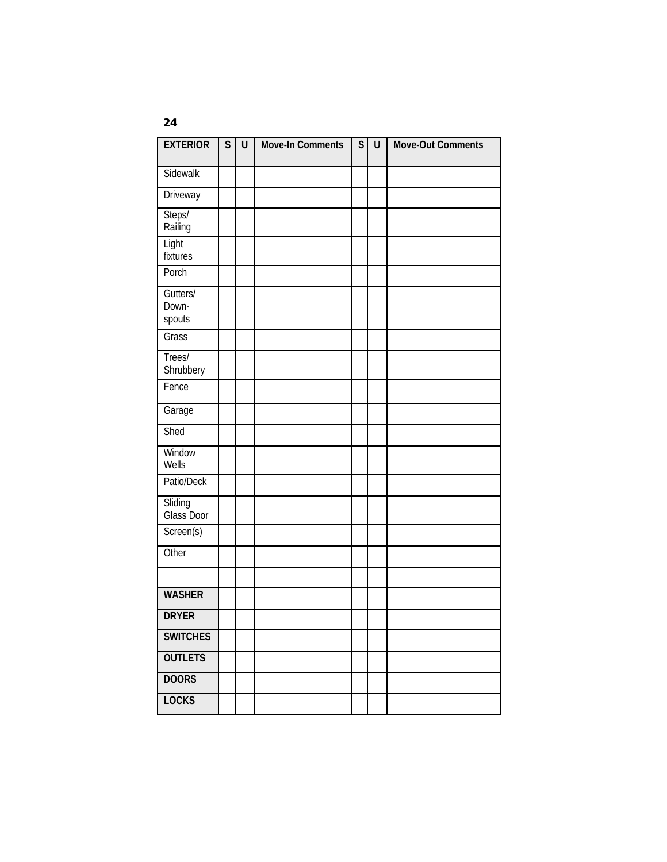| <b>EXTERIOR</b>             | $\mathsf S$ | U | <b>Move-In Comments</b> | $\mathsf S$ | U | <b>Move-Out Comments</b> |
|-----------------------------|-------------|---|-------------------------|-------------|---|--------------------------|
| Sidewalk                    |             |   |                         |             |   |                          |
| Driveway                    |             |   |                         |             |   |                          |
| Steps/<br>Railing           |             |   |                         |             |   |                          |
| Light<br>fixtures           |             |   |                         |             |   |                          |
| Porch                       |             |   |                         |             |   |                          |
| Gutters/<br>Down-<br>spouts |             |   |                         |             |   |                          |
| Grass                       |             |   |                         |             |   |                          |
| Trees/<br>Shrubbery         |             |   |                         |             |   |                          |
| Fence                       |             |   |                         |             |   |                          |
| Garage                      |             |   |                         |             |   |                          |
| Shed                        |             |   |                         |             |   |                          |
| Window<br>Wells             |             |   |                         |             |   |                          |
| Patio/Deck                  |             |   |                         |             |   |                          |
| Sliding<br>Glass Door       |             |   |                         |             |   |                          |
| Screen(s)                   |             |   |                         |             |   |                          |
| Other                       |             |   |                         |             |   |                          |
|                             |             |   |                         |             |   |                          |
| <b>WASHER</b>               |             |   |                         |             |   |                          |
| <b>DRYER</b>                |             |   |                         |             |   |                          |
| <b>SWITCHES</b>             |             |   |                         |             |   |                          |
| <b>OUTLETS</b>              |             |   |                         |             |   |                          |
| <b>DOORS</b>                |             |   |                         |             |   |                          |
| <b>LOCKS</b>                |             |   |                         |             |   |                          |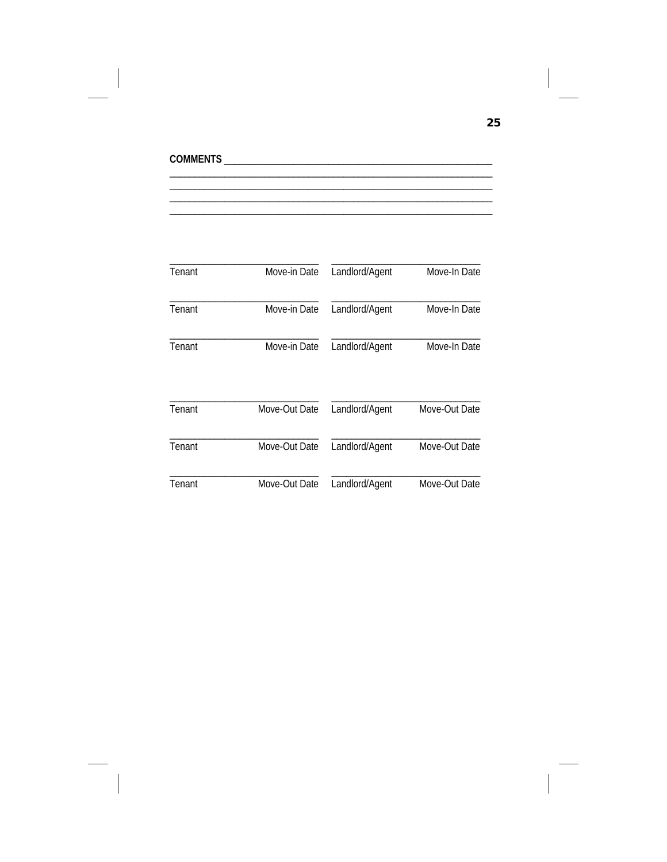| Tenant | Move-in Date  | Landlord/Agent | Move-In Date  |
|--------|---------------|----------------|---------------|
| Tenant | Move-in Date  | Landlord/Agent | Move-In Date  |
| Tenant | Move-in Date  | Landlord/Agent | Move-In Date  |
| Tenant | Move-Out Date | Landlord/Agent | Move-Out Date |
| Tenant | Move-Out Date | Landlord/Agent | Move-Out Date |
| Tenant | Move-Out Date | Landlord/Agent | Move-Out Date |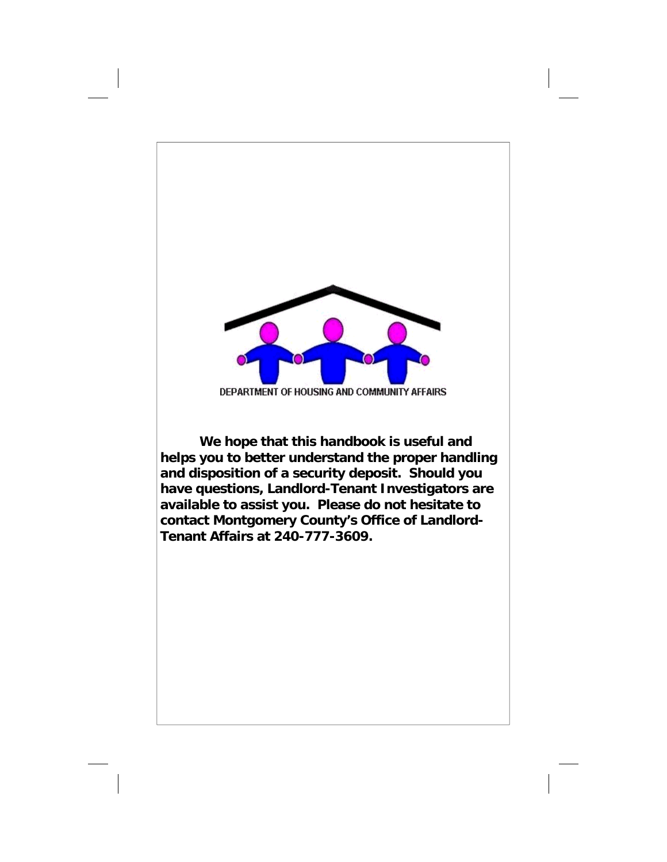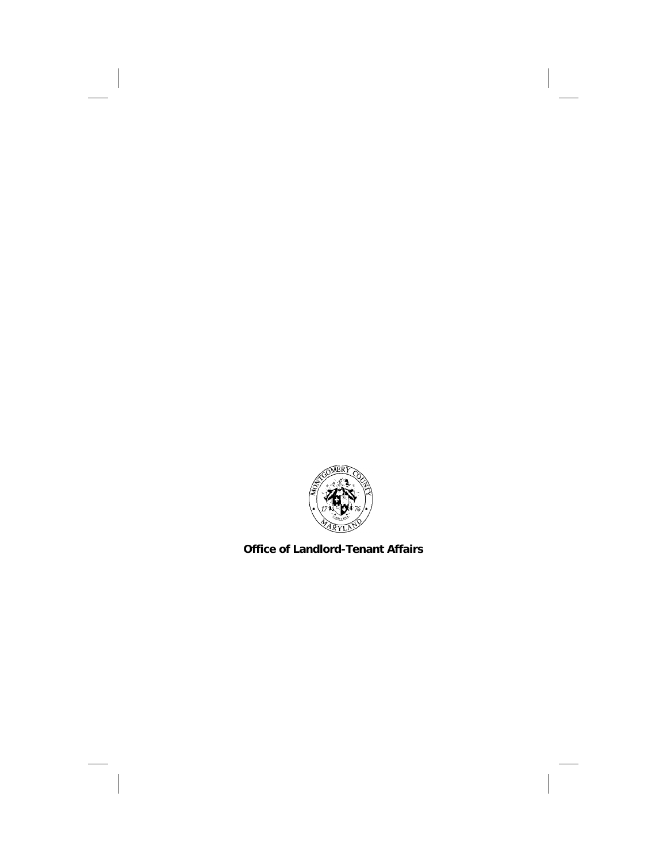

**Office of Landlord-Tenant Affairs**